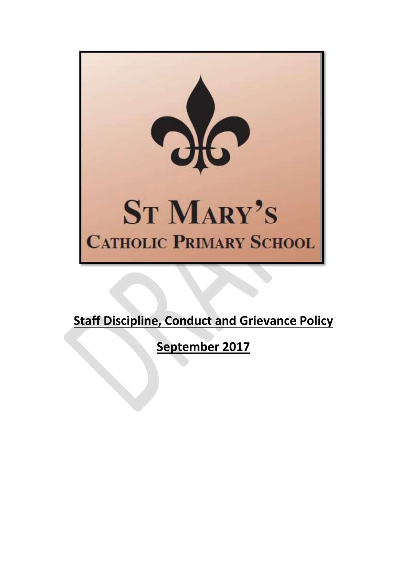

# **Staff Discipline, Conduct and Grievance Policy**

**September 2017**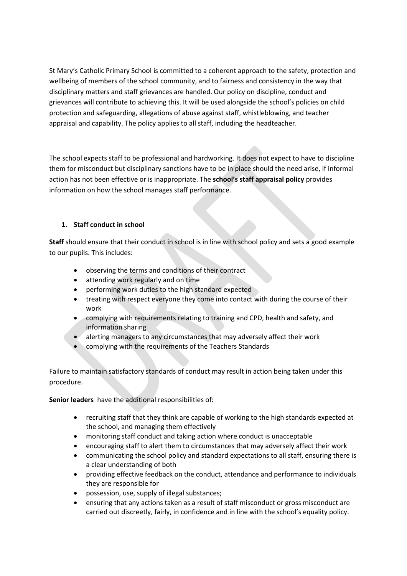St Mary's Catholic Primary School is committed to a coherent approach to the safety, protection and wellbeing of members of the school community, and to fairness and consistency in the way that disciplinary matters and staff grievances are handled. Our policy on discipline, conduct and grievances will contribute to achieving this. It will be used alongside the school's policies on child protection and safeguarding, allegations of abuse against staff, whistleblowing, and teacher appraisal and capability. The policy applies to all staff, including the headteacher.

The school expects staff to be professional and hardworking. It does not expect to have to discipline them for misconduct but disciplinary sanctions have to be in place should the need arise, if informal action has not been effective or is inappropriate. The **school's staff appraisal policy** provides information on how the school manages staff performance.

#### **1. Staff conduct in school**

**Staff** should ensure that their conduct in school is in line with school policy and sets a good example to our pupils. This includes:

- observing the terms and conditions of their contract
- attending work regularly and on time
- performing work duties to the high standard expected
- treating with respect everyone they come into contact with during the course of their work
- complying with requirements relating to training and CPD, health and safety, and information sharing
- alerting managers to any circumstances that may adversely affect their work
- complying with the requirements of the Teachers Standards

Failure to maintain satisfactory standards of conduct may result in action being taken under this procedure.

**Senior leaders** have the additional responsibilities of:

- recruiting staff that they think are capable of working to the high standards expected at the school, and managing them effectively
- monitoring staff conduct and taking action where conduct is unacceptable
- encouraging staff to alert them to circumstances that may adversely affect their work
- communicating the school policy and standard expectations to all staff, ensuring there is a clear understanding of both
- providing effective feedback on the conduct, attendance and performance to individuals they are responsible for
- possession, use, supply of illegal substances;
- ensuring that any actions taken as a result of staff misconduct or gross misconduct are carried out discreetly, fairly, in confidence and in line with the school's equality policy.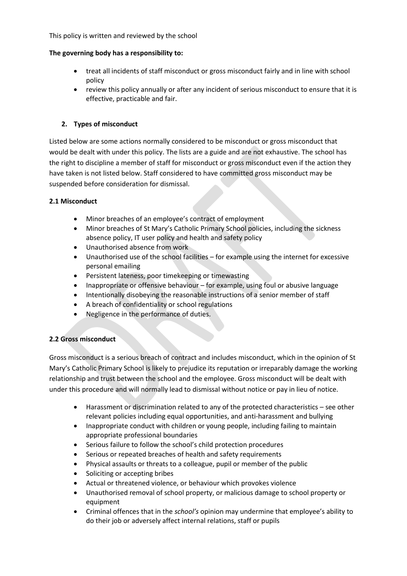This policy is written and reviewed by the school

#### **The governing body has a responsibility to:**

- treat all incidents of staff misconduct or gross misconduct fairly and in line with school policy
- review this policy annually or after any incident of serious misconduct to ensure that it is effective, practicable and fair.

# **2. Types of misconduct**

Listed below are some actions normally considered to be misconduct or gross misconduct that would be dealt with under this policy. The lists are a guide and are not exhaustive. The school has the right to discipline a member of staff for misconduct or gross misconduct even if the action they have taken is not listed below. Staff considered to have committed gross misconduct may be suspended before consideration for dismissal.

#### **2.1 Misconduct**

- Minor breaches of an employee's contract of employment
- Minor breaches of St Mary's Catholic Primary School policies, including the sickness absence policy, IT user policy and health and safety policy
- Unauthorised absence from work
- Unauthorised use of the school facilities for example using the internet for excessive personal emailing
- Persistent lateness, poor timekeeping or timewasting
- Inappropriate or offensive behaviour for example, using foul or abusive language
- Intentionally disobeying the reasonable instructions of a senior member of staff
- A breach of confidentiality or school regulations
- Negligence in the performance of duties.

#### **2.2 Gross misconduct**

Gross misconduct is a serious breach of contract and includes misconduct, which in the opinion of St Mary's Catholic Primary School is likely to prejudice its reputation or irreparably damage the working relationship and trust between the school and the employee. Gross misconduct will be dealt with under this procedure and will normally lead to dismissal without notice or pay in lieu of notice.

- Harassment or discrimination related to any of the protected characteristics see other relevant policies including equal opportunities, and anti-harassment and bullying
- Inappropriate conduct with children or young people, including failing to maintain appropriate professional boundaries
- Serious failure to follow the school's child protection procedures
- Serious or repeated breaches of health and safety requirements
- Physical assaults or threats to a colleague, pupil or member of the public
- Soliciting or accepting bribes
- Actual or threatened violence, or behaviour which provokes violence
- Unauthorised removal of school property, or malicious damage to school property or equipment
- Criminal offences that in the *school's* opinion may undermine that employee's ability to do their job or adversely affect internal relations, staff or pupils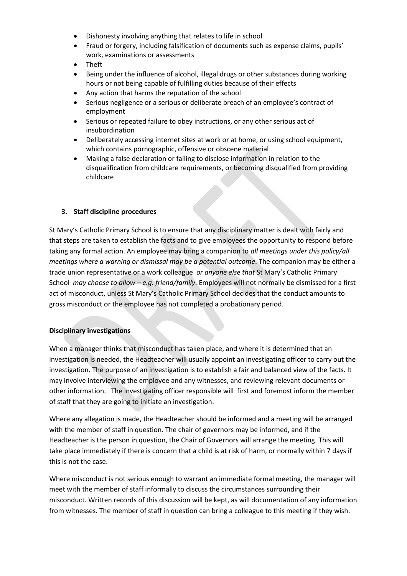- Dishonesty involving anything that relates to life in school
- Fraud or forgery, including falsification of documents such as expense claims, pupils' work, examinations or assessments
- Theft
- Being under the influence of alcohol, illegal drugs or other substances during working hours or not being capable of fulfilling duties because of their effects
- Any action that harms the reputation of the school
- Serious negligence or a serious or deliberate breach of an employee's contract of employment
- Serious or repeated failure to obey instructions, or any other serious act of insubordination
- Deliberately accessing internet sites at work or at home, or using school equipment, which contains pornographic, offensive or obscene material
- Making a false declaration or failing to disclose information in relation to the disqualification from childcare requirements, or becoming disqualified from providing childcare

#### **3. Staff discipline procedures**

St Mary's Catholic Primary School is to ensure that any disciplinary matter is dealt with fairly and that steps are taken to establish the facts and to give employees the opportunity to respond before taking any formal action. An employee may bring a companion to *all meetings under this policy/all meetings where a warning or dismissal may be a potential outcome*. The companion may be either a trade union representative or a work colleague *or anyone else that* St Mary's Catholic Primary School *may choose to allow – e.g. friend/family*. Employees will not normally be dismissed for a first act of misconduct, unless St Mary's Catholic Primary School decides that the conduct amounts to gross misconduct or the employee has not completed a probationary period.

#### **Disciplinary investigations**

When a manager thinks that misconduct has taken place, and where it is determined that an investigation is needed, the Headteacher will usually appoint an investigating officer to carry out the investigation. The purpose of an investigation is to establish a fair and balanced view of the facts. It may involve interviewing the employee and any witnesses, and reviewing relevant documents or other information. The investigating officer responsible will first and foremost inform the member of staff that they are going to initiate an investigation.

Where any allegation is made, the Headteacher should be informed and a meeting will be arranged with the member of staff in question. The chair of governors may be informed, and if the Headteacher is the person in question, the Chair of Governors will arrange the meeting. This will take place immediately if there is concern that a child is at risk of harm, or normally within 7 days if this is not the case.

Where misconduct is not serious enough to warrant an immediate formal meeting, the manager will meet with the member of staff informally to discuss the circumstances surrounding their misconduct. Written records of this discussion will be kept, as will documentation of any information from witnesses. The member of staff in question can bring a colleague to this meeting if they wish.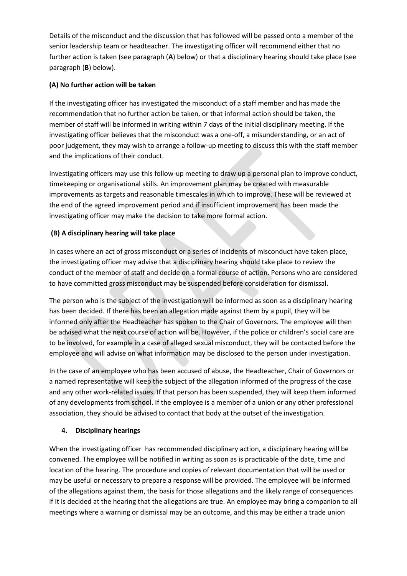Details of the misconduct and the discussion that has followed will be passed onto a member of the senior leadership team or headteacher. The investigating officer will recommend either that no further action is taken (see paragraph (**A**) below) or that a disciplinary hearing should take place (see paragraph (**B**) below).

# **(A) No further action will be taken**

If the investigating officer has investigated the misconduct of a staff member and has made the recommendation that no further action be taken, or that informal action should be taken, the member of staff will be informed in writing within 7 days of the initial disciplinary meeting. If the investigating officer believes that the misconduct was a one-off, a misunderstanding, or an act of poor judgement, they may wish to arrange a follow-up meeting to discuss this with the staff member and the implications of their conduct.

Investigating officers may use this follow-up meeting to draw up a personal plan to improve conduct, timekeeping or organisational skills. An improvement plan may be created with measurable improvements as targets and reasonable timescales in which to improve. These will be reviewed at the end of the agreed improvement period and if insufficient improvement has been made the investigating officer may make the decision to take more formal action.

# **(B) A disciplinary hearing will take place**

In cases where an act of gross misconduct or a series of incidents of misconduct have taken place, the investigating officer may advise that a disciplinary hearing should take place to review the conduct of the member of staff and decide on a formal course of action. Persons who are considered to have committed gross misconduct may be suspended before consideration for dismissal.

The person who is the subject of the investigation will be informed as soon as a disciplinary hearing has been decided. If there has been an allegation made against them by a pupil, they will be informed only after the Headteacher has spoken to the Chair of Governors. The employee will then be advised what the next course of action will be. However, if the police or children's social care are to be involved, for example in a case of alleged sexual misconduct, they will be contacted before the employee and will advise on what information may be disclosed to the person under investigation.

In the case of an employee who has been accused of abuse, the Headteacher, Chair of Governors or a named representative will keep the subject of the allegation informed of the progress of the case and any other work-related issues. If that person has been suspended, they will keep them informed of any developments from school. If the employee is a member of a union or any other professional association, they should be advised to contact that body at the outset of the investigation.

#### **4. Disciplinary hearings**

When the investigating officer has recommended disciplinary action, a disciplinary hearing will be convened. The employee will be notified in writing as soon as is practicable of the date, time and location of the hearing. The procedure and copies of relevant documentation that will be used or may be useful or necessary to prepare a response will be provided. The employee will be informed of the allegations against them, the basis for those allegations and the likely range of consequences if it is decided at the hearing that the allegations are true. An employee may bring a companion to all meetings where a warning or dismissal may be an outcome, and this may be either a trade union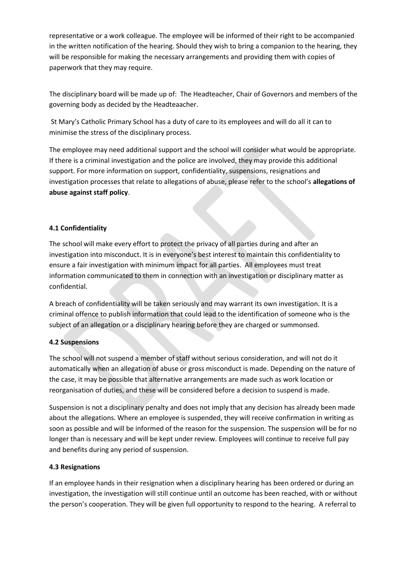representative or a work colleague. The employee will be informed of their right to be accompanied in the written notification of the hearing. Should they wish to bring a companion to the hearing, they will be responsible for making the necessary arrangements and providing them with copies of paperwork that they may require.

The disciplinary board will be made up of: The Headteacher, Chair of Governors and members of the governing body as decided by the Headteaacher.

St Mary's Catholic Primary School has a duty of care to its employees and will do all it can to minimise the stress of the disciplinary process.

The employee may need additional support and the school will consider what would be appropriate. If there is a criminal investigation and the police are involved, they may provide this additional support. For more information on support, confidentiality, suspensions, resignations and investigation processes that relate to allegations of abuse, please refer to the school's **allegations of abuse against staff policy**.

# **4.1 Confidentiality**

The school will make every effort to protect the privacy of all parties during and after an investigation into misconduct. It is in everyone's best interest to maintain this confidentiality to ensure a fair investigation with minimum impact for all parties. All employees must treat information communicated to them in connection with an investigation or disciplinary matter as confidential.

A breach of confidentiality will be taken seriously and may warrant its own investigation. It is a criminal offence to publish information that could lead to the identification of someone who is the subject of an allegation or a disciplinary hearing before they are charged or summonsed.

#### **4.2 Suspensions**

The school will not suspend a member of staff without serious consideration, and will not do it automatically when an allegation of abuse or gross misconduct is made. Depending on the nature of the case, it may be possible that alternative arrangements are made such as work location or reorganisation of duties, and these will be considered before a decision to suspend is made.

Suspension is not a disciplinary penalty and does not imply that any decision has already been made about the allegations. Where an employee is suspended, they will receive confirmation in writing as soon as possible and will be informed of the reason for the suspension. The suspension will be for no longer than is necessary and will be kept under review. Employees will continue to receive full pay and benefits during any period of suspension.

#### **4.3 Resignations**

If an employee hands in their resignation when a disciplinary hearing has been ordered or during an investigation, the investigation will still continue until an outcome has been reached, with or without the person's cooperation. They will be given full opportunity to respond to the hearing. A referral to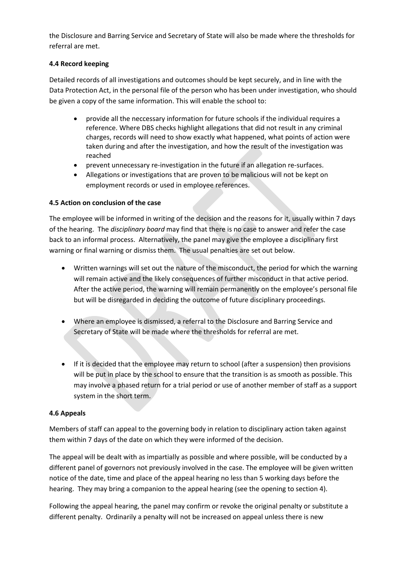the Disclosure and Barring Service and Secretary of State will also be made where the thresholds for referral are met.

#### **4.4 Record keeping**

Detailed records of all investigations and outcomes should be kept securely, and in line with the Data Protection Act, in the personal file of the person who has been under investigation, who should be given a copy of the same information. This will enable the school to:

- provide all the neccessary information for future schools if the individual requires a reference. Where DBS checks highlight allegations that did not result in any criminal charges, records will need to show exactly what happened, what points of action were taken during and after the investigation, and how the result of the investigation was reached
- prevent unnecessary re-investigation in the future if an allegation re-surfaces.
- Allegations or investigations that are proven to be malicious will not be kept on employment records or used in employee references.

# **4.5 Action on conclusion of the case**

The employee will be informed in writing of the decision and the reasons for it, usually within 7 days of the hearing. The *disciplinary board* may find that there is no case to answer and refer the case back to an informal process. Alternatively, the panel may give the employee a disciplinary first warning or final warning or dismiss them. The usual penalties are set out below.

- Written warnings will set out the nature of the misconduct, the period for which the warning will remain active and the likely consequences of further misconduct in that active period. After the active period, the warning will remain permanently on the employee's personal file but will be disregarded in deciding the outcome of future disciplinary proceedings.
- Where an employee is dismissed, a referral to the Disclosure and Barring Service and Secretary of State will be made where the thresholds for referral are met.
- If it is decided that the employee may return to school (after a suspension) then provisions will be put in place by the school to ensure that the transition is as smooth as possible. This may involve a phased return for a trial period or use of another member of staff as a support system in the short term.

#### **4.6 Appeals**

Members of staff can appeal to the governing body in relation to disciplinary action taken against them within 7 days of the date on which they were informed of the decision.

The appeal will be dealt with as impartially as possible and where possible, will be conducted by a different panel of governors not previously involved in the case. The employee will be given written notice of the date, time and place of the appeal hearing no less than 5 working days before the hearing. They may bring a companion to the appeal hearing (see the opening to section 4).

Following the appeal hearing, the panel may confirm or revoke the original penalty or substitute a different penalty. Ordinarily a penalty will not be increased on appeal unless there is new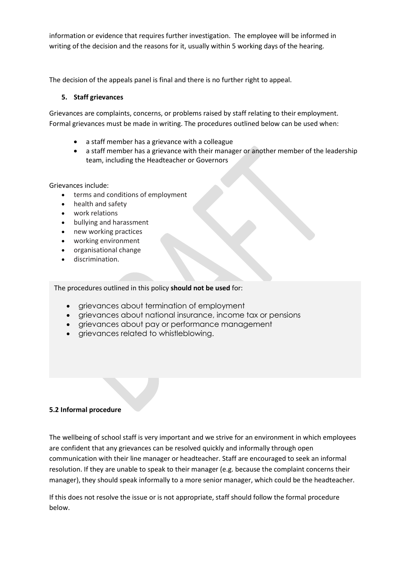information or evidence that requires further investigation. The employee will be informed in writing of the decision and the reasons for it, usually within 5 working days of the hearing.

The decision of the appeals panel is final and there is no further right to appeal.

# **5. Staff grievances**

Grievances are complaints, concerns, or problems raised by staff relating to their employment. Formal grievances must be made in writing. The procedures outlined below can be used when:

- a staff member has a grievance with a colleague
- a staff member has a grievance with their manager or another member of the leadership team, including the Headteacher or Governors

Grievances include:

- terms and conditions of employment
- health and safety
- work relations
- bullying and harassment
- new working practices
- working environment
- organisational change
- discrimination.

The procedures outlined in this policy **should not be used** for:

- grievances about termination of employment
- grievances about national insurance, income tax or pensions
- grievances about pay or performance management
- grievances related to whistleblowing.

#### **5.2 Informal procedure**

The wellbeing of school staff is very important and we strive for an environment in which employees are confident that any grievances can be resolved quickly and informally through open communication with their line manager or headteacher. Staff are encouraged to seek an informal resolution. If they are unable to speak to their manager (e.g. because the complaint concerns their manager), they should speak informally to a more senior manager, which could be the headteacher.

If this does not resolve the issue or is not appropriate, staff should follow the formal procedure below.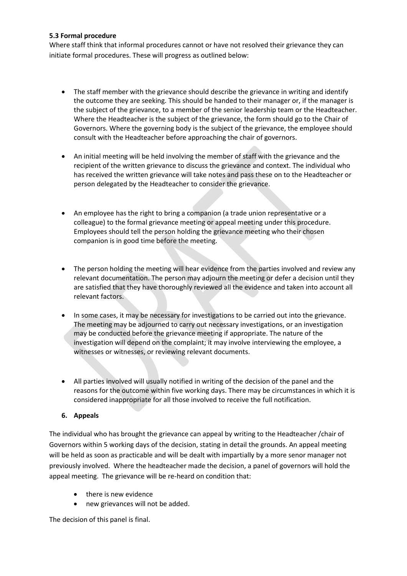#### **5.3 Formal procedure**

Where staff think that informal procedures cannot or have not resolved their grievance they can initiate formal procedures. These will progress as outlined below:

- The staff member with the grievance should describe the grievance in writing and identify the outcome they are seeking. This should be handed to their manager or, if the manager is the subject of the grievance, to a member of the senior leadership team or the Headteacher. Where the Headteacher is the subject of the grievance, the form should go to the Chair of Governors. Where the governing body is the subject of the grievance, the employee should consult with the Headteacher before approaching the chair of governors.
- An initial meeting will be held involving the member of staff with the grievance and the recipient of the written grievance to discuss the grievance and context. The individual who has received the written grievance will take notes and pass these on to the Headteacher or person delegated by the Headteacher to consider the grievance.
- An employee has the right to bring a companion (a trade union representative or a colleague) to the formal grievance meeting or appeal meeting under this procedure. Employees should tell the person holding the grievance meeting who their chosen companion is in good time before the meeting.
- The person holding the meeting will hear evidence from the parties involved and review any relevant documentation. The person may adjourn the meeting or defer a decision until they are satisfied that they have thoroughly reviewed all the evidence and taken into account all relevant factors.
- In some cases, it may be necessary for investigations to be carried out into the grievance. The meeting may be adjourned to carry out necessary investigations, or an investigation may be conducted before the grievance meeting if appropriate. The nature of the investigation will depend on the complaint; it may involve interviewing the employee, a witnesses or witnesses, or reviewing relevant documents.
- All parties involved will usually notified in writing of the decision of the panel and the reasons for the outcome within five working days. There may be circumstances in which it is considered inappropriate for all those involved to receive the full notification.

#### **6. Appeals**

The individual who has brought the grievance can appeal by writing to the Headteacher /chair of Governors within 5 working days of the decision, stating in detail the grounds. An appeal meeting will be held as soon as practicable and will be dealt with impartially by a more senor manager not previously involved. Where the headteacher made the decision, a panel of governors will hold the appeal meeting. The grievance will be re-heard on condition that:

- there is new evidence
- new grievances will not be added.

The decision of this panel is final.